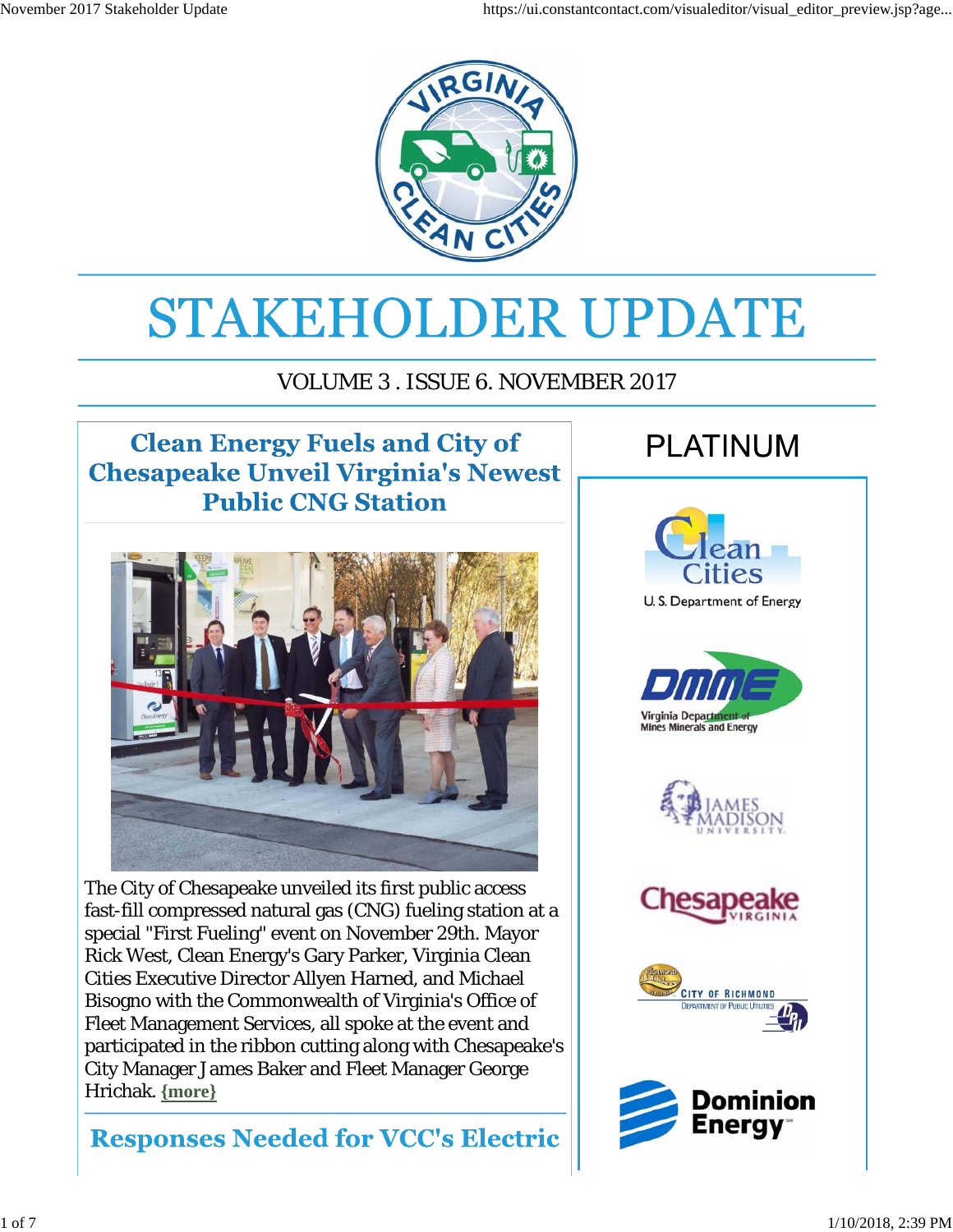

# STAKEHOLDER UPDATE

#### VOLUME 3 . ISSUE 6. NOVEMBER 2017

#### **Clean Energy Fuels and City of Chesapeake Unveil Virginia's Newest Public CNG Station**



The City of Chesapeake unveiled its first public access fast-fill compressed natural gas (CNG) fueling station at a special "First Fueling" event on November 29th. Mayor Rick West, Clean Energy's Gary Parker, Virginia Clean Cities Executive Director Allyen Harned, and Michael Bisogno with the Commonwealth of Virginia's Office of Fleet Management Services, all spoke at the event and participated in the ribbon cutting along with Chesapeake's City Manager James Baker and Fleet Manager George Hrichak. **{more}**

#### **Responses Needed for VCC's Electric**

# **PLATINUM**

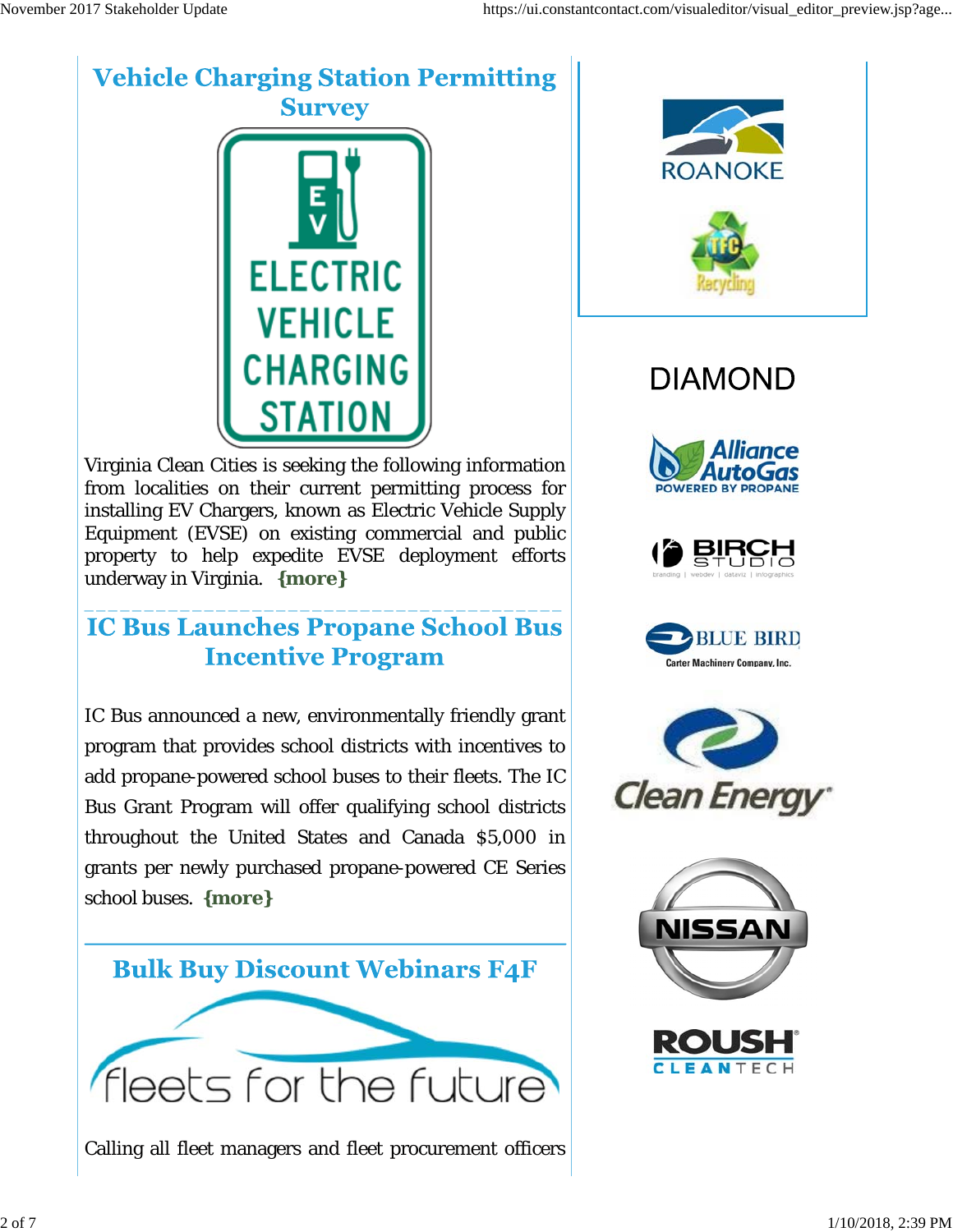#### **Vehicle Charging Station Permitting Survey**



Virginia Clean Cities is seeking the following information from localities on their current permitting process for installing EV Chargers, known as Electric Vehicle Supply Equipment (EVSE) on existing commercial and public property to help expedite EVSE deployment efforts underway in Virginia. **{more}**

#### **IC Bus Launches Propane School Bus Incentive Program**

\_\_\_\_\_\_\_\_\_\_\_\_\_\_\_\_\_\_\_\_\_\_\_\_\_\_\_\_\_\_\_\_\_\_\_\_\_\_\_\_

IC Bus announced a new, environmentally friendly grant program that provides school districts with incentives to add propane-powered school buses to their fleets. The IC Bus Grant Program will offer qualifying school districts throughout the United States and Canada \$5,000 in grants per newly purchased propane-powered CE Series school buses. **{more}**



Calling all fleet managers and fleet procurement officers



# **DIAMOND**











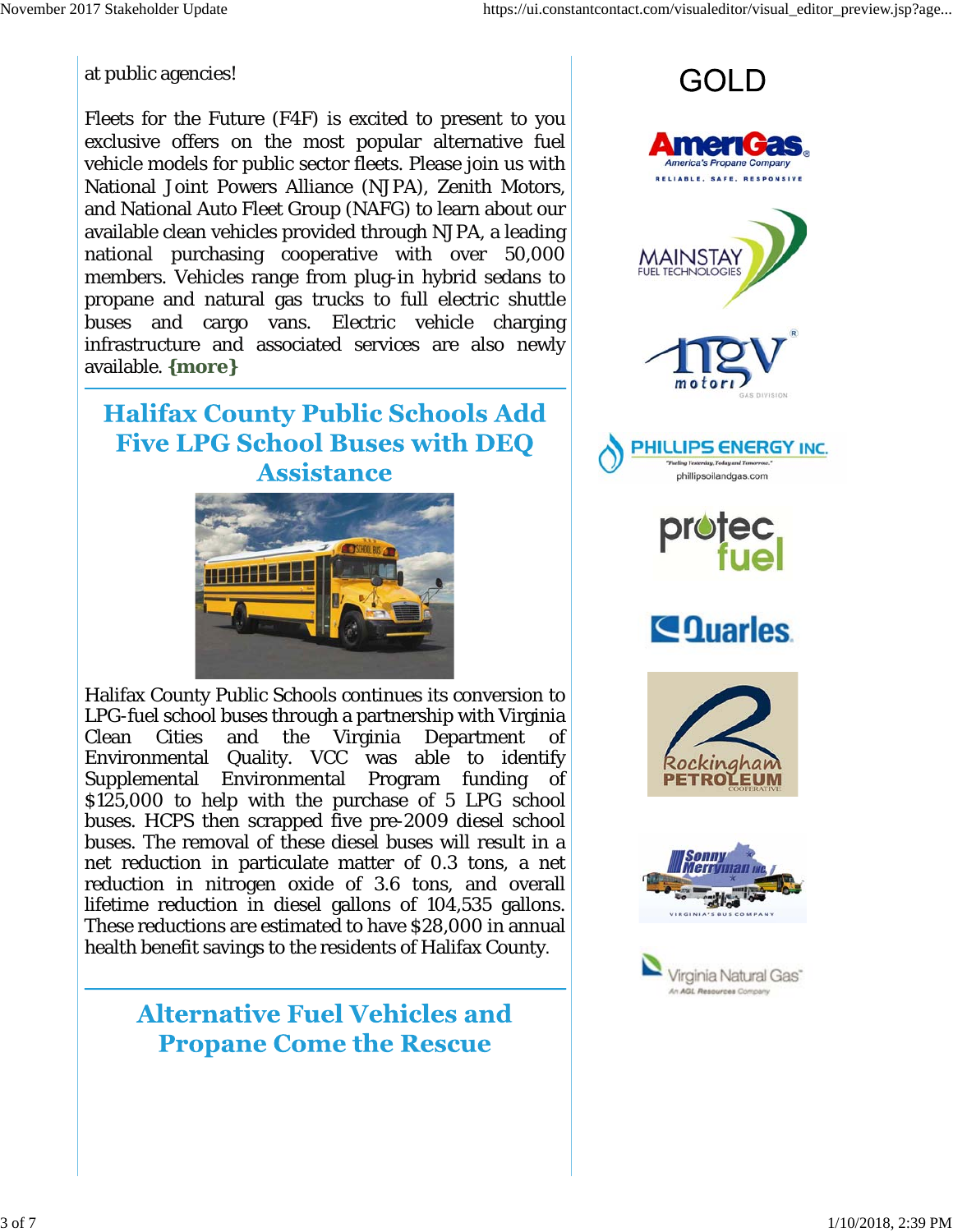at public agencies!

Fleets for the Future (F4F) is excited to present to you exclusive offers on the most popular alternative fuel vehicle models for public sector fleets. Please join us with National Joint Powers Alliance (NJPA), Zenith Motors, and National Auto Fleet Group (NAFG) to learn about our available clean vehicles provided through NJPA, a leading national purchasing cooperative with over 50,000 members. Vehicles range from plug-in hybrid sedans to propane and natural gas trucks to full electric shuttle buses and cargo vans. Electric vehicle charging infrastructure and associated services are also newly available. **{more}**

**Halifax County Public Schools Add Five LPG School Buses with DEO Assistance** 



Halifax County Public Schools continues its conversion to LPG-fuel school buses through a partnership with Virginia Clean Cities and the Virginia Department of Environmental Quality. VCC was able to identify Supplemental Environmental Program funding of \$125,000 to help with the purchase of 5 LPG school buses. HCPS then scrapped five pre-2009 diesel school buses. The removal of these diesel buses will result in a net reduction in particulate matter of 0.3 tons, a net reduction in nitrogen oxide of 3.6 tons, and overall lifetime reduction in diesel gallons of 104,535 gallons. These reductions are estimated to have \$28,000 in annual health benefit savings to the residents of Halifax County.

> **Alternative Fuel Vehicles and Propane Come the Rescue**





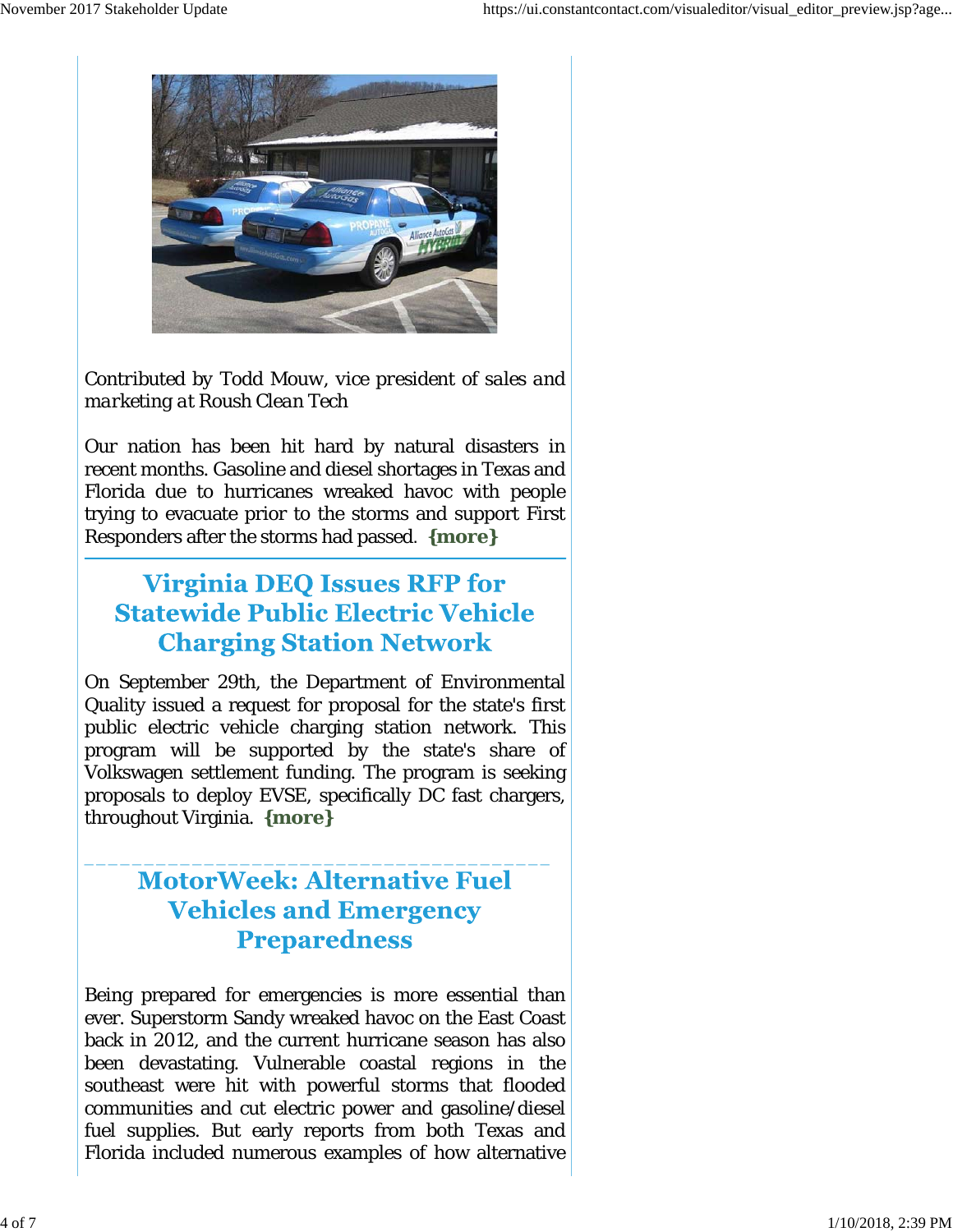

*Contributed by Todd Mouw, vice president of sales and marketing at Roush Clean Tech*

Our nation has been hit hard by natural disasters in recent months. Gasoline and diesel shortages in Texas and Florida due to hurricanes wreaked havoc with people trying to evacuate prior to the storms and support First Responders after the storms had passed. **{more}**

#### **Virginia DEO Issues RFP for Statewide Public Electric Vehicle Charging Station Network**

On September 29th, the Department of Environmental Quality issued a request for proposal for the state's first public electric vehicle charging station network. This program will be supported by the state's share of Volkswagen settlement funding. The program is seeking proposals to deploy EVSE, specifically DC fast chargers, throughout Virginia. **{more}**

#### **MotorWeek: Alternative Fuel Vehicles and Emergency Preparedness**

\_\_\_\_\_\_\_\_\_\_\_\_\_\_\_\_\_\_\_\_\_\_\_\_\_\_\_\_\_\_\_\_\_\_\_\_\_\_\_

Being prepared for emergencies is more essential than ever. Superstorm Sandy wreaked havoc on the East Coast back in 2012, and the current hurricane season has also been devastating. Vulnerable coastal regions in the southeast were hit with powerful storms that flooded communities and cut electric power and gasoline/diesel fuel supplies. But early reports from both Texas and Florida included numerous examples of how alternative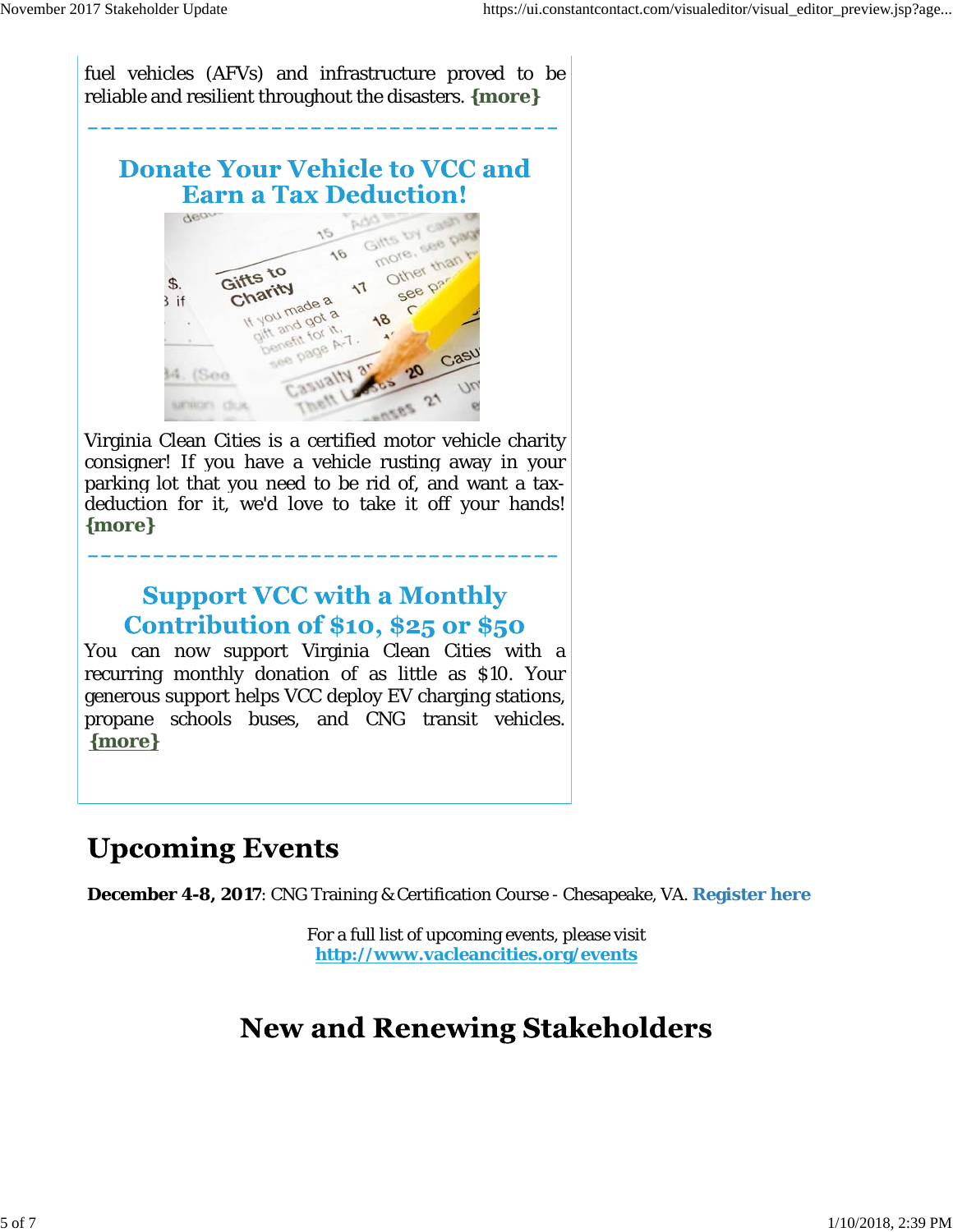fuel vehicles (AFVs) and infrastructure proved to be reliable and resilient throughout the disasters. **{more}**

**\_\_\_\_\_\_\_\_\_\_\_\_\_\_\_\_\_\_\_\_\_\_\_\_\_\_\_\_\_\_\_\_\_\_\_\_**

#### **Donate Your Vehicle to VCC and Earn a Tax Deduction!**



Virginia Clean Cities is a certified motor vehicle charity consigner! If you have a vehicle rusting away in your parking lot that you need to be rid of, and want a taxdeduction for it, we'd love to take it off your hands! **{more}**

**\_\_\_\_\_\_\_\_\_\_\_\_\_\_\_\_\_\_\_\_\_\_\_\_\_\_\_\_\_\_\_\_\_\_\_\_**

#### **Support VCC with a Monthly** Contribution of \$10, \$25 or \$50

You can now support Virginia Clean Cities with a recurring monthly donation of as little as \$10. Your generous support helps VCC deploy EV charging stations, propane schools buses, and CNG transit vehicles. **{more}**

# **Upcoming Events**

**December 4-8, 2017**: CNG Training & Certification Course - Chesapeake, VA. **Register here**

For a full list of upcoming events, please visit **http://www.vacleancities.org/events**

# **New and Renewing Stakeholders**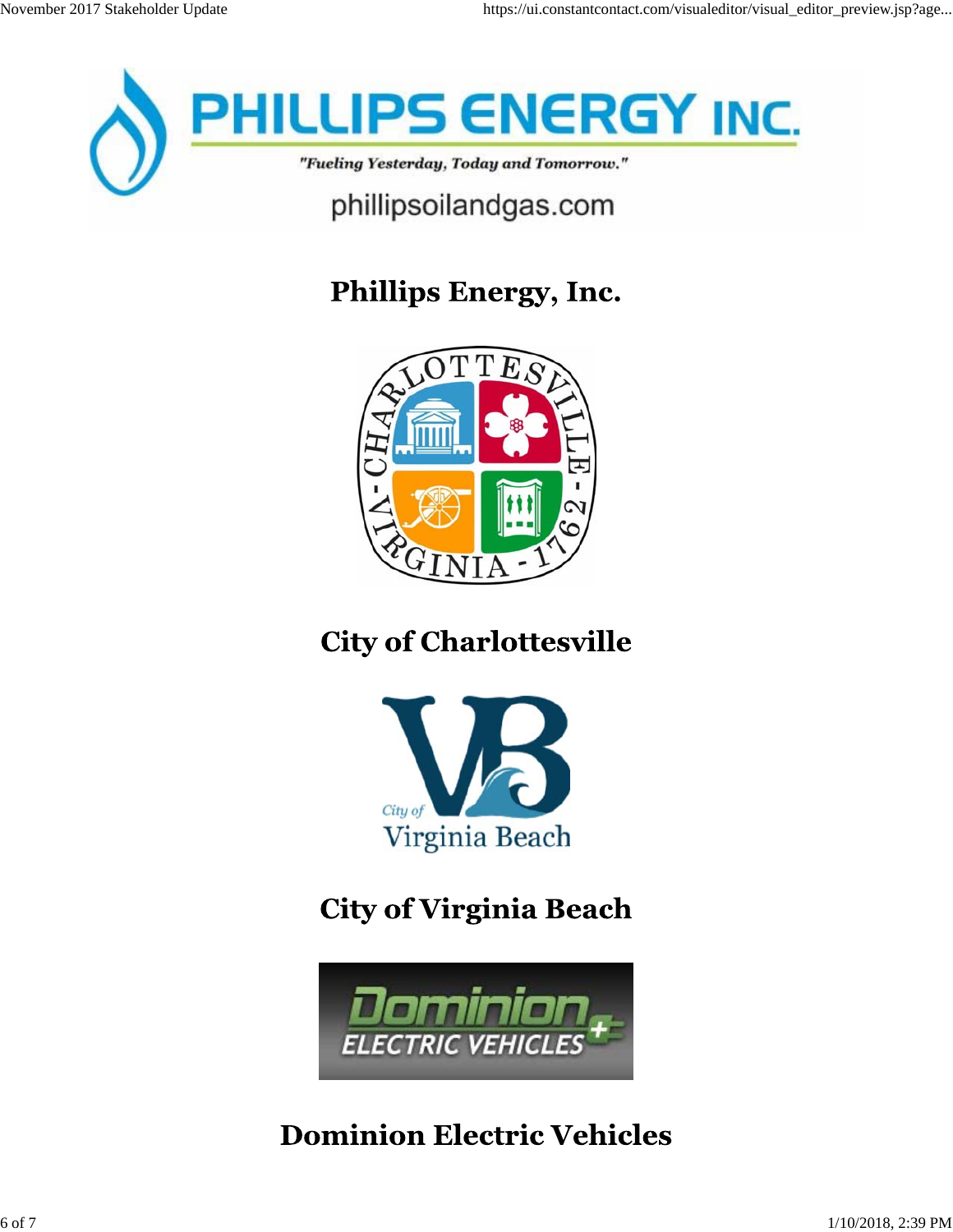

# Phillips Energy, Inc.



# **City of Charlottesville**



# **City of Virginia Beach**



### **Dominion Electric Vehicles**